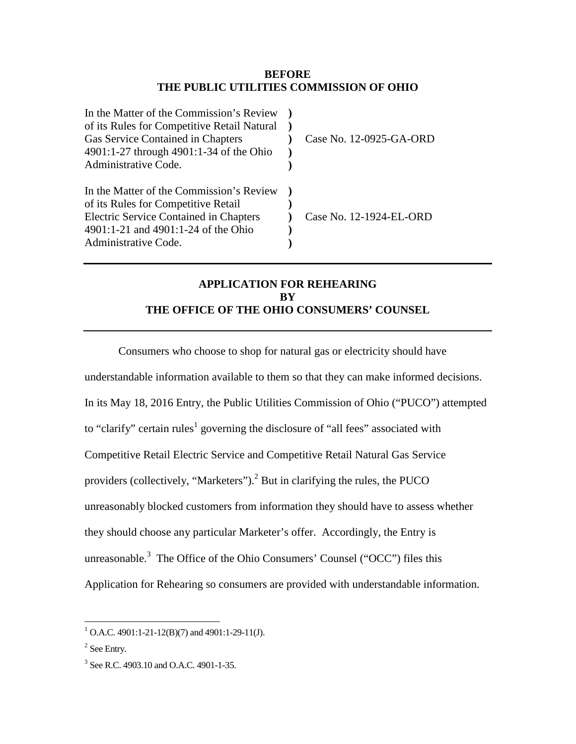## **BEFORE THE PUBLIC UTILITIES COMMISSION OF OHIO**

| In the Matter of the Commission's Review<br>of its Rules for Competitive Retail Natural<br>Gas Service Contained in Chapters<br>4901:1-27 through 4901:1-34 of the Ohio<br>Administrative Code. | Case No. 12-0925-GA-ORD |
|-------------------------------------------------------------------------------------------------------------------------------------------------------------------------------------------------|-------------------------|
| In the Matter of the Commission's Review<br>of its Rules for Competitive Retail<br><b>Electric Service Contained in Chapters</b><br>4901:1-21 and 4901:1-24 of the Ohio<br>Administrative Code. | Case No. 12-1924-EL-ORD |

# **APPLICATION FOR REHEARING BY THE OFFICE OF THE OHIO CONSUMERS' COUNSEL**

Consumers who choose to shop for natural gas or electricity should have understandable information available to them so that they can make informed decisions. In its May 18, 2016 Entry, the Public Utilities Commission of Ohio ("PUCO") attempted to "clarify" certain rules<sup>1</sup> governing the disclosure of "all fees" associated with Competitive Retail Electric Service and Competitive Retail Natural Gas Service providers (collectively, "Marketers").<sup>2</sup> But in clarifying the rules, the PUCO unreasonably blocked customers from information they should have to assess whether they should choose any particular Marketer's offer. Accordingly, the Entry is unreasonable.<sup>3</sup> The Office of the Ohio Consumers' Counsel ("OCC") files this Application for Rehearing so consumers are provided with understandable information.

 1 O.A.C. 4901:1-21-12(B)(7) and 4901:1-29-11(J).

 $2$  See Entry.

<sup>3</sup> See R.C. 4903.10 and O.A.C. 4901-1-35.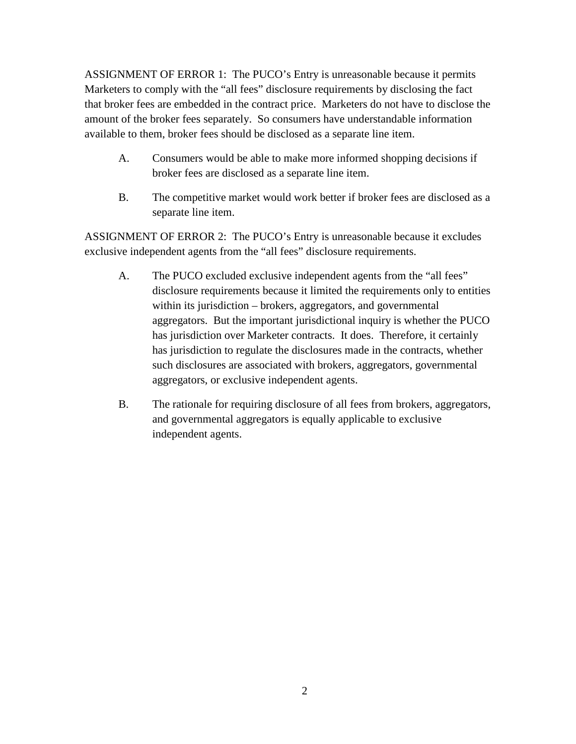ASSIGNMENT OF ERROR 1: The PUCO's Entry is unreasonable because it permits Marketers to comply with the "all fees" disclosure requirements by disclosing the fact that broker fees are embedded in the contract price. Marketers do not have to disclose the amount of the broker fees separately. So consumers have understandable information available to them, broker fees should be disclosed as a separate line item.

- A. Consumers would be able to make more informed shopping decisions if broker fees are disclosed as a separate line item.
- B. The competitive market would work better if broker fees are disclosed as a separate line item.

ASSIGNMENT OF ERROR 2: The PUCO's Entry is unreasonable because it excludes exclusive independent agents from the "all fees" disclosure requirements.

- A. The PUCO excluded exclusive independent agents from the "all fees" disclosure requirements because it limited the requirements only to entities within its jurisdiction – brokers, aggregators, and governmental aggregators. But the important jurisdictional inquiry is whether the PUCO has jurisdiction over Marketer contracts. It does. Therefore, it certainly has jurisdiction to regulate the disclosures made in the contracts, whether such disclosures are associated with brokers, aggregators, governmental aggregators, or exclusive independent agents.
- B. The rationale for requiring disclosure of all fees from brokers, aggregators, and governmental aggregators is equally applicable to exclusive independent agents.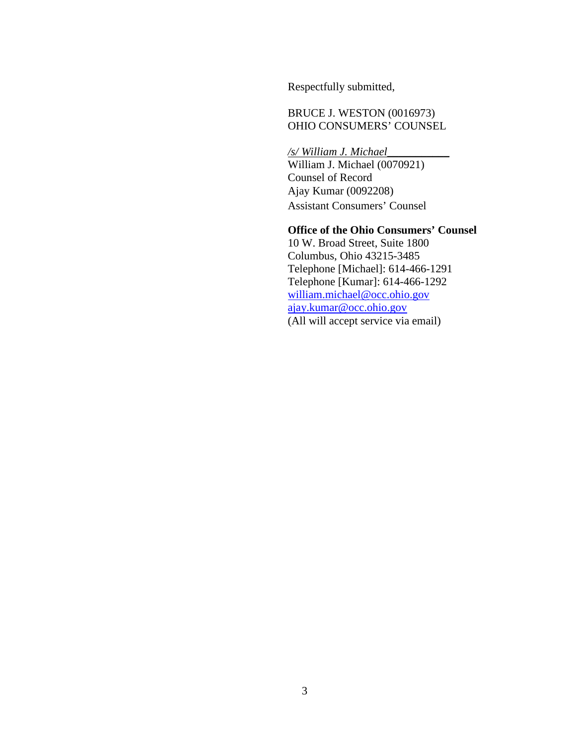Respectfully submitted,

 BRUCE J. WESTON (0016973) OHIO CONSUMERS' COUNSEL

 */s/ William J. Michael\_\_\_\_\_\_\_\_\_\_\_* William J. Michael (0070921) Counsel of Record Ajay Kumar (0092208) Assistant Consumers' Counsel

## **Office of the Ohio Consumers' Counsel**

 10 W. Broad Street, Suite 1800 Columbus, Ohio 43215-3485 Telephone [Michael]: 614-466-1291 Telephone [Kumar]: 614-466-1292 william.michael@occ.ohio.gov ajay.kumar@occ.ohio.gov (All will accept service via email)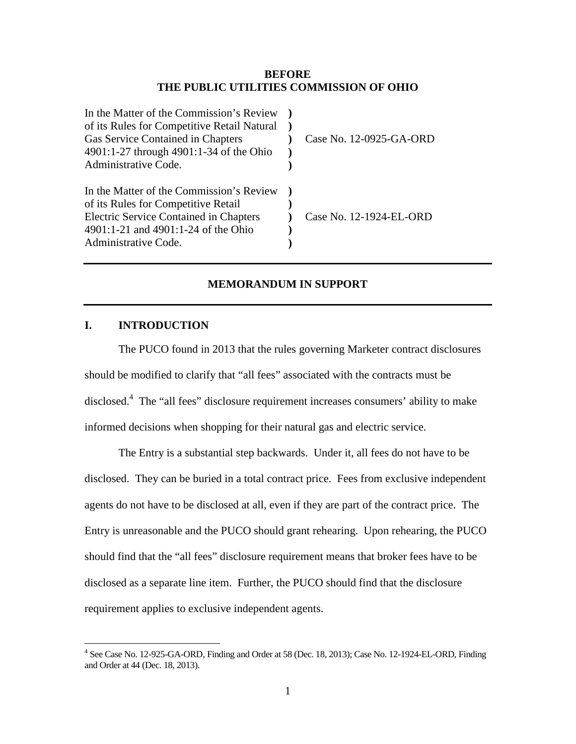## **BEFORE THE PUBLIC UTILITIES COMMISSION OF OHIO**

| Case No. 12-0925-GA-ORD |
|-------------------------|
|                         |
|                         |
|                         |
|                         |
| Case No. 12-1924-EL-ORD |
|                         |
|                         |
|                         |

#### **MEMORANDUM IN SUPPORT**

## **I. INTRODUCTION**

The PUCO found in 2013 that the rules governing Marketer contract disclosures should be modified to clarify that "all fees" associated with the contracts must be disclosed.<sup>4</sup> The "all fees" disclosure requirement increases consumers' ability to make informed decisions when shopping for their natural gas and electric service.

The Entry is a substantial step backwards. Under it, all fees do not have to be disclosed. They can be buried in a total contract price. Fees from exclusive independent agents do not have to be disclosed at all, even if they are part of the contract price. The Entry is unreasonable and the PUCO should grant rehearing. Upon rehearing, the PUCO should find that the "all fees" disclosure requirement means that broker fees have to be disclosed as a separate line item. Further, the PUCO should find that the disclosure requirement applies to exclusive independent agents.

 4 See Case No. 12-925-GA-ORD, Finding and Order at 58 (Dec. 18, 2013); Case No. 12-1924-EL-ORD, Finding and Order at 44 (Dec. 18, 2013).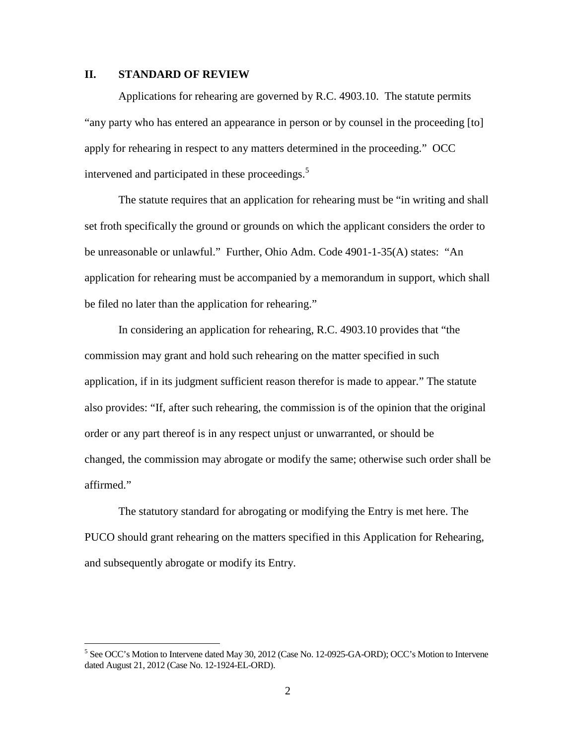## **II. STANDARD OF REVIEW**

<u>.</u>

Applications for rehearing are governed by R.C. 4903.10. The statute permits "any party who has entered an appearance in person or by counsel in the proceeding [to] apply for rehearing in respect to any matters determined in the proceeding." OCC intervened and participated in these proceedings.<sup>5</sup>

The statute requires that an application for rehearing must be "in writing and shall set froth specifically the ground or grounds on which the applicant considers the order to be unreasonable or unlawful." Further, Ohio Adm. Code 4901-1-35(A) states: "An application for rehearing must be accompanied by a memorandum in support, which shall be filed no later than the application for rehearing."

In considering an application for rehearing, R.C. 4903.10 provides that "the commission may grant and hold such rehearing on the matter specified in such application, if in its judgment sufficient reason therefor is made to appear." The statute also provides: "If, after such rehearing, the commission is of the opinion that the original order or any part thereof is in any respect unjust or unwarranted, or should be changed, the commission may abrogate or modify the same; otherwise such order shall be affirmed."

The statutory standard for abrogating or modifying the Entry is met here. The PUCO should grant rehearing on the matters specified in this Application for Rehearing, and subsequently abrogate or modify its Entry.

<sup>&</sup>lt;sup>5</sup> See OCC's Motion to Intervene dated May 30, 2012 (Case No. 12-0925-GA-ORD); OCC's Motion to Intervene dated August 21, 2012 (Case No. 12-1924-EL-ORD).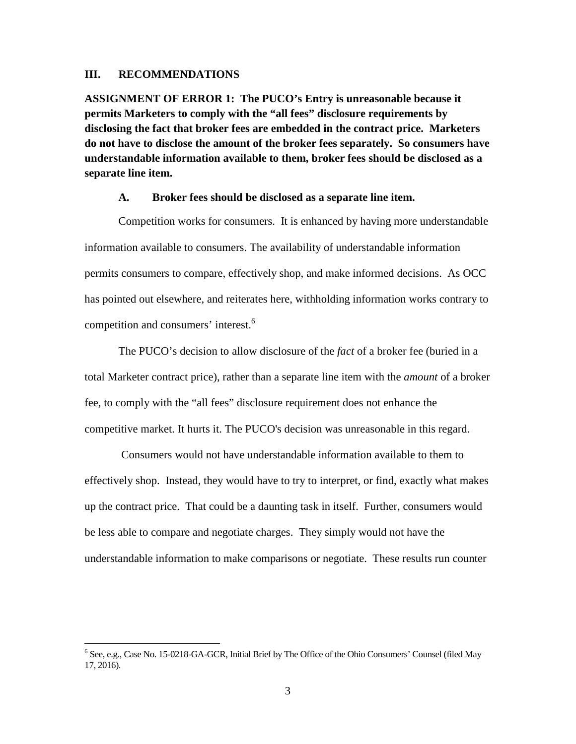#### **III. RECOMMENDATIONS**

 $\overline{a}$ 

**ASSIGNMENT OF ERROR 1: The PUCO's Entry is unreasonable because it permits Marketers to comply with the "all fees" disclosure requirements by disclosing the fact that broker fees are embedded in the contract price. Marketers do not have to disclose the amount of the broker fees separately. So consumers have understandable information available to them, broker fees should be disclosed as a separate line item.**

#### **A. Broker fees should be disclosed as a separate line item.**

Competition works for consumers. It is enhanced by having more understandable information available to consumers. The availability of understandable information permits consumers to compare, effectively shop, and make informed decisions. As OCC has pointed out elsewhere, and reiterates here, withholding information works contrary to competition and consumers' interest.<sup>6</sup>

The PUCO's decision to allow disclosure of the *fact* of a broker fee (buried in a total Marketer contract price), rather than a separate line item with the *amount* of a broker fee, to comply with the "all fees" disclosure requirement does not enhance the competitive market. It hurts it. The PUCO's decision was unreasonable in this regard.

 Consumers would not have understandable information available to them to effectively shop. Instead, they would have to try to interpret, or find, exactly what makes up the contract price. That could be a daunting task in itself. Further, consumers would be less able to compare and negotiate charges. They simply would not have the understandable information to make comparisons or negotiate. These results run counter

<sup>&</sup>lt;sup>6</sup> See, e.g., Case No. 15-0218-GA-GCR, Initial Brief by The Office of the Ohio Consumers' Counsel (filed May 17, 2016).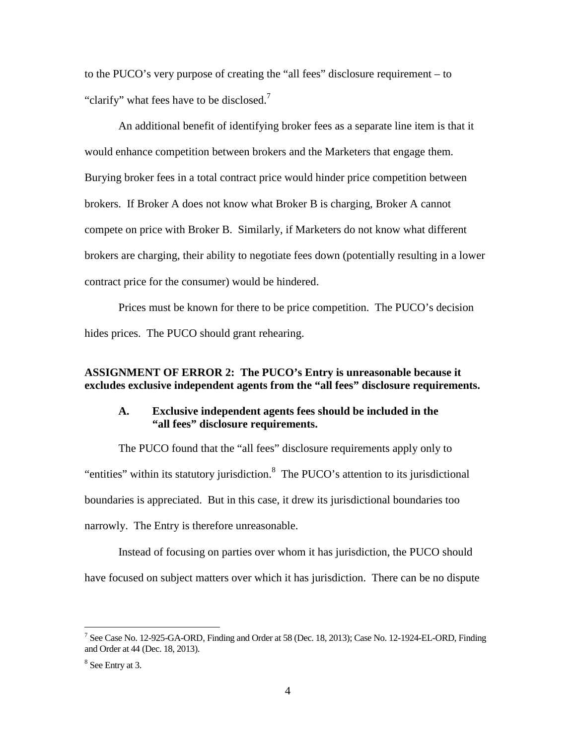to the PUCO's very purpose of creating the "all fees" disclosure requirement – to "clarify" what fees have to be disclosed.<sup>7</sup>

An additional benefit of identifying broker fees as a separate line item is that it would enhance competition between brokers and the Marketers that engage them. Burying broker fees in a total contract price would hinder price competition between brokers. If Broker A does not know what Broker B is charging, Broker A cannot compete on price with Broker B. Similarly, if Marketers do not know what different brokers are charging, their ability to negotiate fees down (potentially resulting in a lower contract price for the consumer) would be hindered.

Prices must be known for there to be price competition. The PUCO's decision hides prices. The PUCO should grant rehearing.

## **ASSIGNMENT OF ERROR 2: The PUCO's Entry is unreasonable because it excludes exclusive independent agents from the "all fees" disclosure requirements.**

## **A. Exclusive independent agents fees should be included in the "all fees" disclosure requirements.**

The PUCO found that the "all fees" disclosure requirements apply only to "entities" within its statutory jurisdiction.<sup>8</sup> The PUCO's attention to its jurisdictional boundaries is appreciated. But in this case, it drew its jurisdictional boundaries too narrowly. The Entry is therefore unreasonable.

Instead of focusing on parties over whom it has jurisdiction, the PUCO should have focused on subject matters over which it has jurisdiction. There can be no dispute

 $\overline{a}$ 

<sup>&</sup>lt;sup>7</sup> See Case No. 12-925-GA-ORD, Finding and Order at 58 (Dec. 18, 2013); Case No. 12-1924-EL-ORD, Finding and Order at 44 (Dec. 18, 2013).

<sup>8</sup> See Entry at 3.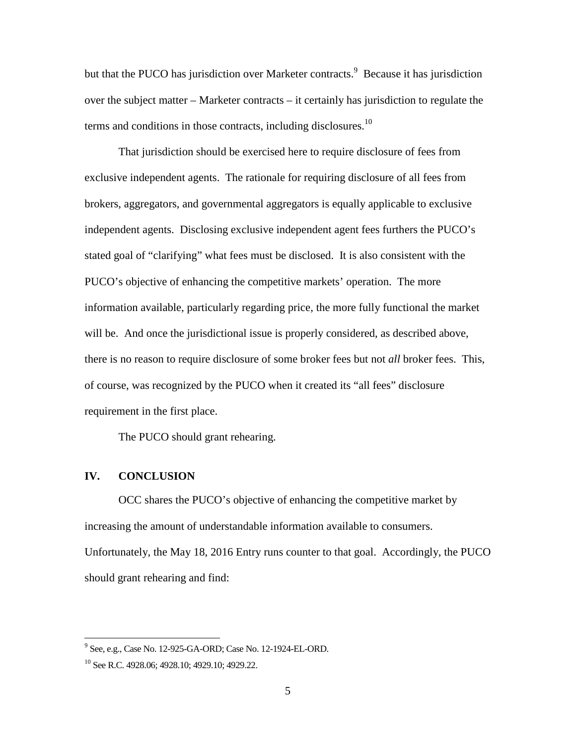but that the PUCO has jurisdiction over Marketer contracts.<sup>9</sup> Because it has jurisdiction over the subject matter – Marketer contracts – it certainly has jurisdiction to regulate the terms and conditions in those contracts, including disclosures.<sup>10</sup>

That jurisdiction should be exercised here to require disclosure of fees from exclusive independent agents. The rationale for requiring disclosure of all fees from brokers, aggregators, and governmental aggregators is equally applicable to exclusive independent agents. Disclosing exclusive independent agent fees furthers the PUCO's stated goal of "clarifying" what fees must be disclosed. It is also consistent with the PUCO's objective of enhancing the competitive markets' operation. The more information available, particularly regarding price, the more fully functional the market will be. And once the jurisdictional issue is properly considered, as described above, there is no reason to require disclosure of some broker fees but not *all* broker fees. This, of course, was recognized by the PUCO when it created its "all fees" disclosure requirement in the first place.

The PUCO should grant rehearing.

## **IV. CONCLUSION**

OCC shares the PUCO's objective of enhancing the competitive market by increasing the amount of understandable information available to consumers. Unfortunately, the May 18, 2016 Entry runs counter to that goal. Accordingly, the PUCO should grant rehearing and find:

 9 See, e.g., Case No. 12-925-GA-ORD; Case No. 12-1924-EL-ORD.

<sup>10</sup> See R.C. 4928.06; 4928.10; 4929.10; 4929.22.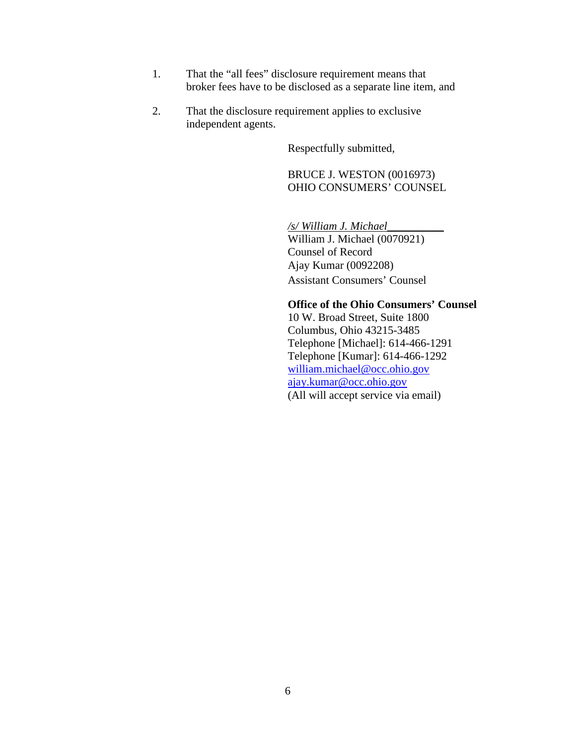- 1. That the "all fees" disclosure requirement means that broker fees have to be disclosed as a separate line item, and
- 2. That the disclosure requirement applies to exclusive independent agents.

Respectfully submitted,

#### BRUCE J. WESTON (0016973) OHIO CONSUMERS' COUNSEL

 */s/ William J. Michael\_\_\_\_\_\_\_\_\_\_*  William J. Michael (0070921) Counsel of Record Ajay Kumar (0092208) Assistant Consumers' Counsel

## **Office of the Ohio Consumers' Counsel**

 10 W. Broad Street, Suite 1800 Columbus, Ohio 43215-3485 Telephone [Michael]: 614-466-1291 Telephone [Kumar]: 614-466-1292 william.michael@occ.ohio.gov ajay.kumar@occ.ohio.gov (All will accept service via email)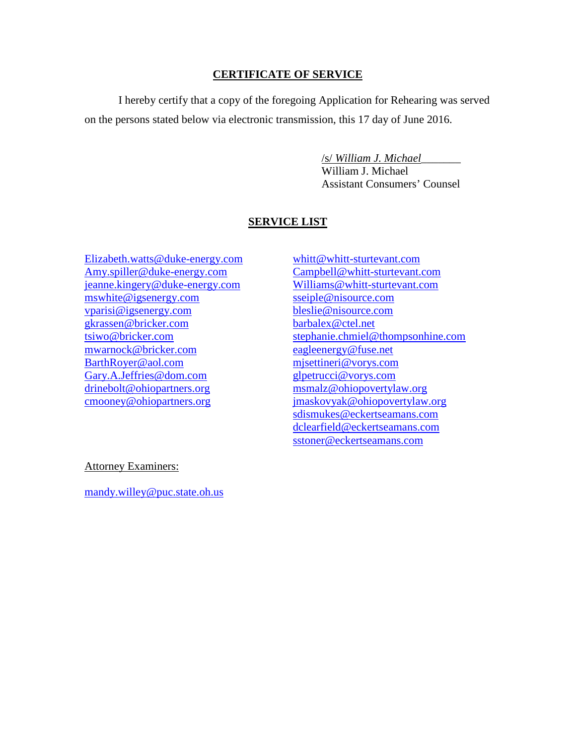## **CERTIFICATE OF SERVICE**

I hereby certify that a copy of the foregoing Application for Rehearing was served on the persons stated below via electronic transmission, this 17 day of June 2016.

/s/ *William J. Michael*\_\_\_\_\_\_\_

 William J. Michael Assistant Consumers' Counsel

# **SERVICE LIST**

Elizabeth.watts@duke-energy.com Amy.spiller@duke-energy.com jeanne.kingery@duke-energy.com mswhite@igsenergy.com vparisi@igsenergy.com gkrassen@bricker.com tsiwo@bricker.com mwarnock@bricker.com BarthRoyer@aol.com Gary.A.Jeffries@dom.com drinebolt@ohiopartners.org cmooney@ohiopartners.org

whitt@whitt-sturtevant.com Campbell@whitt-sturtevant.com Williams@whitt-sturtevant.com sseiple@nisource.com bleslie@nisource.com barbalex@ctel.net stephanie.chmiel@thompsonhine.com eagleenergy@fuse.net mjsettineri@vorys.com glpetrucci@vorys.com msmalz@ohiopovertylaw.org jmaskovyak@ohiopovertylaw.org sdismukes@eckertseamans.com dclearfield@eckertseamans.com sstoner@eckertseamans.com

Attorney Examiners:

mandy.willey@puc.state.oh.us